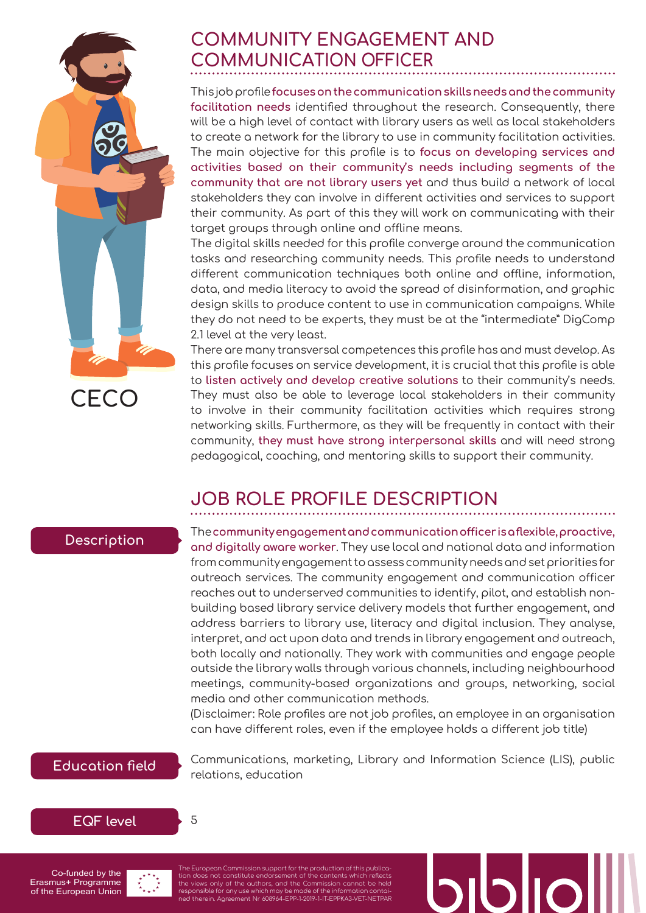## **COMMUNITY ENGAGEMENT AND COMMUNICATION OFFICER**

This job profile **focuses on the communication skills needs and the community facilitation needs** identified throughout the research. Consequently, there will be a high level of contact with library users as well as local stakeholders to create a network for the library to use in community facilitation activities. The main objective for this profile is to **focus on developing services and activities based on their community's needs including segments of the community that are not library users yet** and thus build a network of local stakeholders they can involve in different activities and services to support their community. As part of this they will work on communicating with their target groups through online and offline means.

The digital skills needed for this profile converge around the communication tasks and researching community needs. This profile needs to understand different communication techniques both online and offline, information, data, and media literacy to avoid the spread of disinformation, and graphic design skills to produce content to use in communication campaigns. While they do not need to be experts, they must be at the "intermediate" DigComp 2.1 level at the very least.

There are many transversal competences this profile has and must develop. As this profile focuses on service development, it is crucial that this profile is able to **listen actively and develop creative solutions** to their community's needs. They must also be able to leverage local stakeholders in their community to involve in their community facilitation activities which requires strong networking skills. Furthermore, as they will be frequently in contact with their community, **they must have strong interpersonal skills** and will need strong pedagogical, coaching, and mentoring skills to support their community.

# **JOB ROLE PROFILE DESCRIPTION**

### **Description**

**CECO**

The **community engagement and communication officer is a flexible, proactive, and digitally aware worker**. They use local and national data and information from community engagement to assess community needs and set priorities for outreach services. The community engagement and communication officer reaches out to underserved communities to identify, pilot, and establish nonbuilding based library service delivery models that further engagement, and address barriers to library use, literacy and digital inclusion. They analyse, interpret, and act upon data and trends in library engagement and outreach, both locally and nationally. They work with communities and engage people outside the library walls through various channels, including neighbourhood meetings, community-based organizations and groups, networking, social media and other communication methods.

(Disclaimer: Role profiles are not job profiles, an employee in an organisation can have different roles, even if the employee holds a different job title)

#### **Education field**

Communications, marketing, Library and Information Science (LIS), public relations, education





5

Co-funded by the Erasmus+ Programme of the European Union

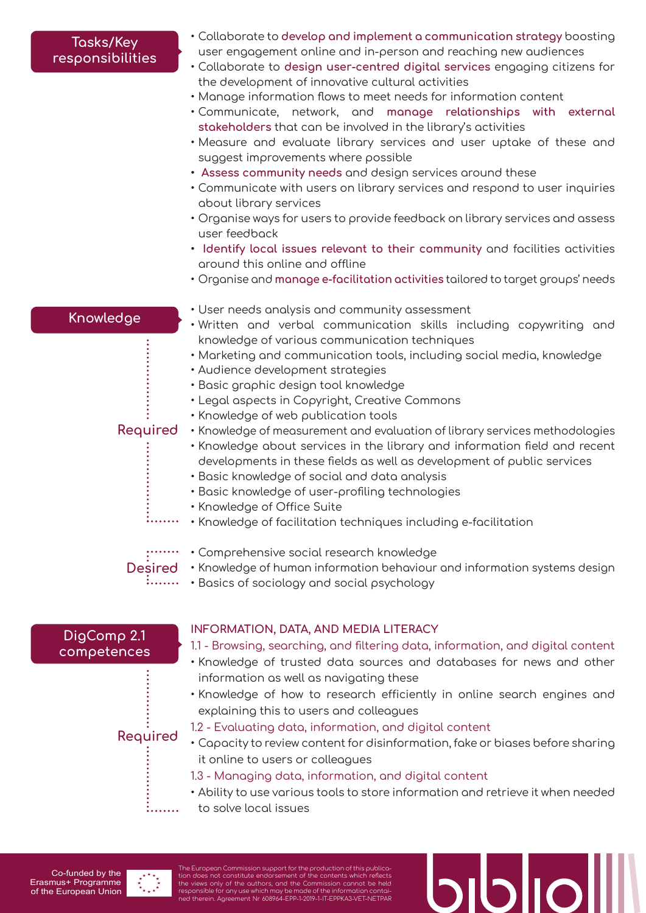#### **Tasks/Key responsibilities**

- Collaborate to **develop and implement a communication strategy** boosting user engagement online and in-person and reaching new audiences
- Collaborate to **design user-centred digital services** engaging citizens for the development of innovative cultural activities
- Manage information flows to meet needs for information content
- Communicate, network, and **manage relationships with external stakeholders** that can be involved in the library's activities
- Measure and evaluate library services and user uptake of these and suggest improvements where possible
- **• Assess community needs** and design services around these
- Communicate with users on library services and respond to user inquiries about library services
- Organise ways for users to provide feedback on library services and assess user feedback
- **• Identify local issues relevant to their community** and facilities activities around this online and offline
- Organise and **manage e-facilitation activities** tailored to target groups' needs

#### **Knowledge**

- User needs analysis and community assessment
- Written and verbal communication skills including copywriting and knowledge of various communication techniques
- Marketing and communication tools, including social media, knowledge
- Audience development strategies
- Basic graphic design tool knowledge
- Legal aspects in Copyright, Creative Commons
- Knowledge of web publication tools

#### **Required**

....

- Knowledge of measurement and evaluation of library services methodologies • Knowledge about services in the library and information field and recent
- developments in these fields as well as development of public services
- Basic knowledge of social and data analysis
- Basic knowledge of user-profiling technologies
- Knowledge of Office Suite
- . . . . . . . . • Knowledge of facilitation techniques including e-facilitation

- Comprehensive social research knowledge
- Knowledge of human information behaviour and information systems design **Desired**
	- •••••••••••• Basics of sociology and social psychology

#### **DigComp 2.1 competences**

#### **INFORMATION, DATA, AND MEDIA LITERACY**

1.1 - Browsing, searching, and filtering data, information, and digital content

- Knowledge of trusted data sources and databases for news and other information as well as navigating these
- Knowledge of how to research efficiently in online search engines and explaining this to users and colleagues

## **Required**

- 1.2 Evaluating data, information, and digital content
- Capacity to review content for disinformation, fake or biases before sharing it online to users or colleagues
- 1.3 Managing data, information, and digital content
- Ability to use various tools to store information and retrieve it when needed
- to solve local issues

Co-funded by the Erasmus+ Programme of the European Union



. . . . . . . .

The European Commission support for the production of this publication does not constitute endorsement of the contents which reflects<br>the views only of the authors, and the Commission cannot be held<br>responsible for any use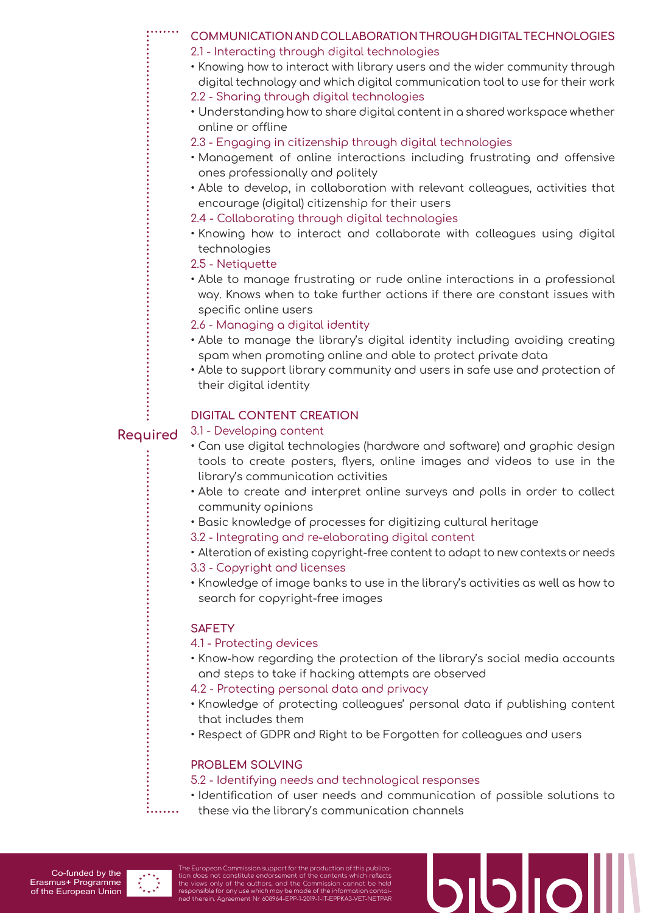- **COMMUNICATION AND COLLABORATION THROUGH DIGITAL TECHNOLOGIES** 2.1 - Interacting through digital technologies
	- Knowing how to interact with library users and the wider community through digital technology and which digital communication tool to use for their work
	- 2.2 Sharing through digital technologies
	- Understanding how to share digital content in a shared workspace whether online or offline
	- 2.3 Engaging in citizenship through digital technologies
	- Management of online interactions including frustrating and offensive ones professionally and politely
	- Able to develop, in collaboration with relevant colleagues, activities that encourage (digital) citizenship for their users
	- 2.4 Collaborating through digital technologies
	- Knowing how to interact and collaborate with colleagues using digital technologies
	- 2.5 Netiquette
	- Able to manage frustrating or rude online interactions in a professional way. Knows when to take further actions if there are constant issues with specific online users

2.6 - Managing a digital identity

- Able to manage the library's digital identity including avoiding creating spam when promoting online and able to protect private data
- Able to support library community and users in safe use and protection of their digital identity

#### **DIGITAL CONTENT CREATION**

#### 3.1 - Developing content **Required**

- Can use digital technologies (hardware and software) and graphic design tools to create posters, flyers, online images and videos to use in the library's communication activities
- Able to create and interpret online surveys and polls in order to collect community opinions
- Basic knowledge of processes for digitizing cultural heritage
- 3.2 Integrating and re-elaborating digital content
- Alteration of existing copyright-free content to adapt to new contexts or needs
- 3.3 Copyright and licenses
- Knowledge of image banks to use in the library's activities as well as how to search for copyright-free images

#### **SAFETY**

#### 4.1 - Protecting devices

- Know-how regarding the protection of the library's social media accounts and steps to take if hacking attempts are observed
- 4.2 Protecting personal data and privacy
- Knowledge of protecting colleagues' personal data if publishing content that includes them
- Respect of GDPR and Right to be Forgotten for colleagues and users

#### **PROBLEM SOLVING**

#### 5.2 - Identifying needs and technological responses

- Identification of user needs and communication of possible solutions to
- these via the library's communication channels



. . . . . . . .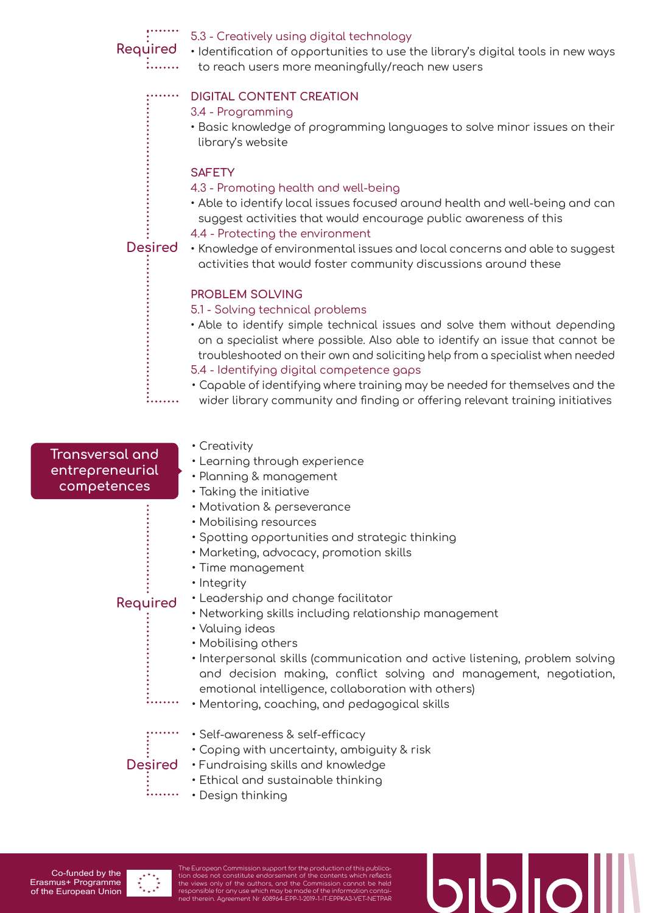

• Design thinking

Co-funded by the Erasmus+ Programme of the European Union